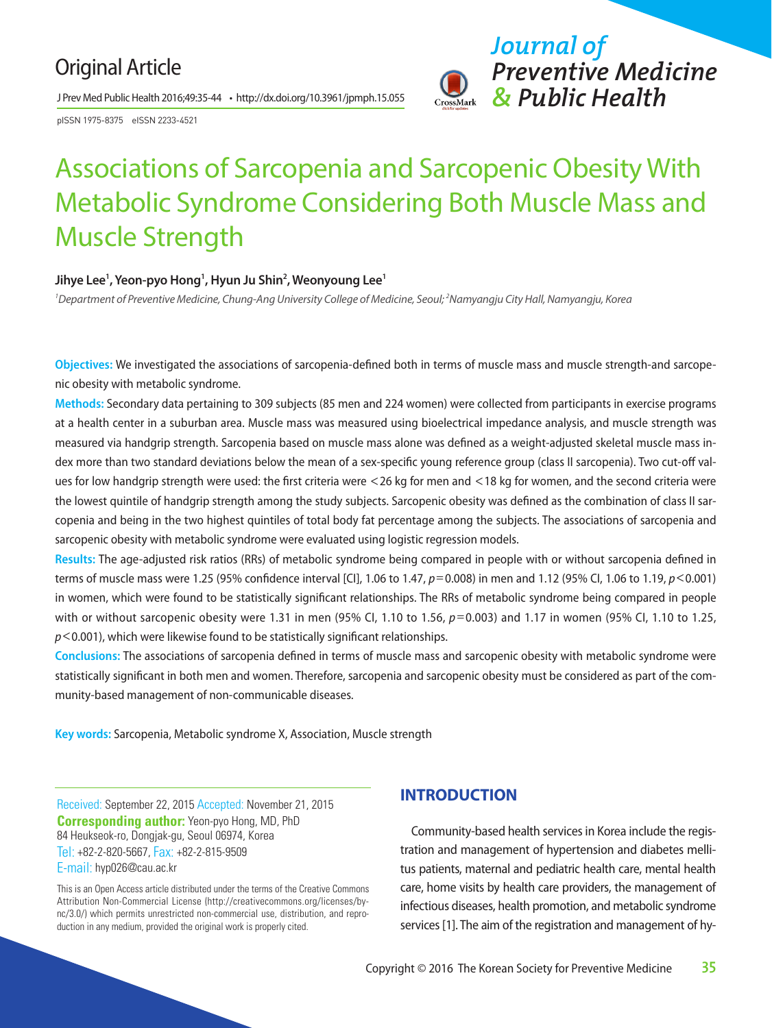## Original Article

J Prev Med Public Health 2016;49:35-44 • http://dx.doi.org/10.3961/jpmph.15.055

pISSN 1975-8375 eISSN 2233-4521



# Associations of Sarcopenia and Sarcopenic Obesity With Metabolic Syndrome Considering Both Muscle Mass and Muscle Strength

#### Jihye Lee<sup>1</sup>, Yeon-pyo Hong<sup>1</sup>, Hyun Ju Shin<sup>2</sup>, Weonyoung Lee<sup>1</sup>

*1 Department of Preventive Medicine, Chung-Ang University College of Medicine, Seoul; 2 Namyangju City Hall, Namyangju, Korea*

**Objectives:** We investigated the associations of sarcopenia-defined both in terms of muscle mass and muscle strength-and sarcopenic obesity with metabolic syndrome.

**Methods:** Secondary data pertaining to 309 subjects (85 men and 224 women) were collected from participants in exercise programs at a health center in a suburban area. Muscle mass was measured using bioelectrical impedance analysis, and muscle strength was measured via handgrip strength. Sarcopenia based on muscle mass alone was defined as a weight-adjusted skeletal muscle mass index more than two standard deviations below the mean of a sex-specific young reference group (class II sarcopenia). Two cut-off values for low handgrip strength were used: the first criteria were <26 kg for men and <18 kg for women, and the second criteria were the lowest quintile of handgrip strength among the study subjects. Sarcopenic obesity was defined as the combination of class II sarcopenia and being in the two highest quintiles of total body fat percentage among the subjects. The associations of sarcopenia and sarcopenic obesity with metabolic syndrome were evaluated using logistic regression models.

**Results:** The age-adjusted risk ratios (RRs) of metabolic syndrome being compared in people with or without sarcopenia defined in terms of muscle mass were 1.25 (95% confidence interval [CI], 1.06 to 1.47, *p*=0.008) in men and 1.12 (95% CI, 1.06 to 1.19, *p*<0.001) in women, which were found to be statistically significant relationships. The RRs of metabolic syndrome being compared in people with or without sarcopenic obesity were 1.31 in men (95% CI, 1.10 to 1.56,  $p=0.003$ ) and 1.17 in women (95% CI, 1.10 to 1.25, *p*<0.001), which were likewise found to be statistically significant relationships.

**Conclusions:** The associations of sarcopenia defined in terms of muscle mass and sarcopenic obesity with metabolic syndrome were statistically significant in both men and women. Therefore, sarcopenia and sarcopenic obesity must be considered as part of the community-based management of non-communicable diseases.

**Key words:** Sarcopenia, Metabolic syndrome X, Association, Muscle strength

Received: September 22, 2015 Accepted: November 21, 2015 **Corresponding author:** Yeon-pyo Hong, MD, PhD 84 Heukseok-ro, Dongjak-gu, Seoul 06974, Korea Tel: +82-2-820-5667, Fax: +82-2-815-9509 E-mail: hyp026@cau.ac.kr

This is an Open Access article distributed under the terms of the Creative Commons Attribution Non-Commercial License (http://creativecommons.org/licenses/bync/3.0/) which permits unrestricted non-commercial use, distribution, and reproduction in any medium, provided the original work is properly cited.

## **INTRODUCTION**

Community-based health services in Korea include the registration and management of hypertension and diabetes mellitus patients, maternal and pediatric health care, mental health care, home visits by health care providers, the management of infectious diseases, health promotion, and metabolic syndrome services [1]. The aim of the registration and management of hy-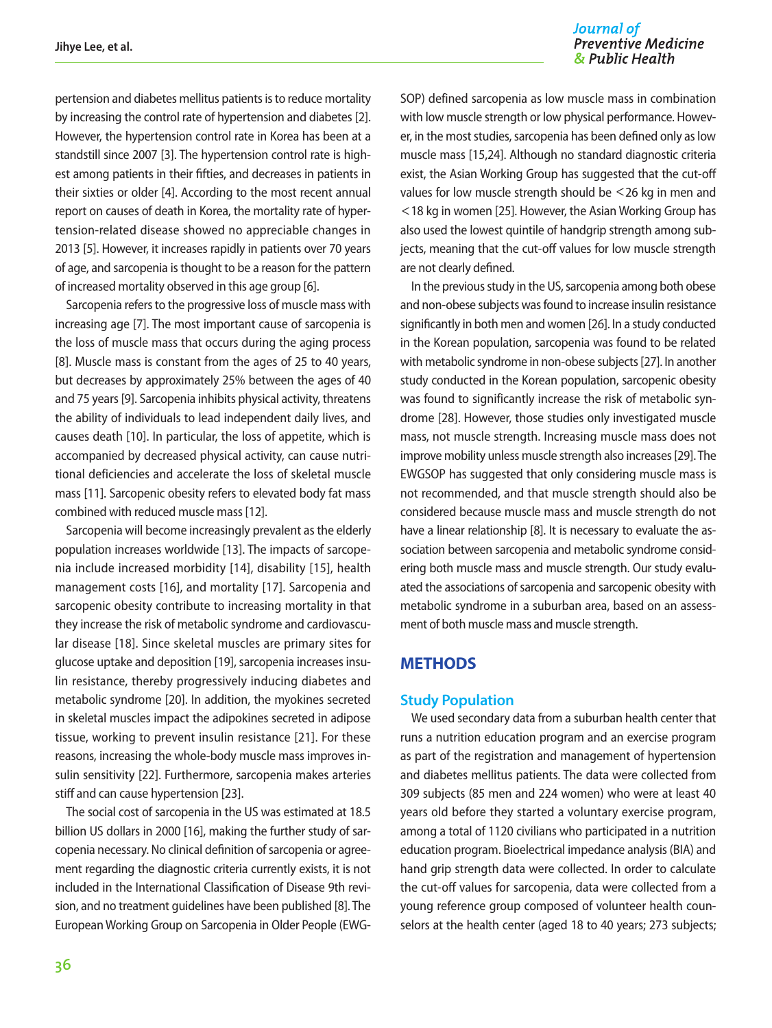Journal of **Preventive Medicine** & Public Health

pertension and diabetes mellitus patients is to reduce mortality by increasing the control rate of hypertension and diabetes [2]. However, the hypertension control rate in Korea has been at a standstill since 2007 [3]. The hypertension control rate is highest among patients in their fifties, and decreases in patients in their sixties or older [4]. According to the most recent annual report on causes of death in Korea, the mortality rate of hypertension-related disease showed no appreciable changes in 2013 [5]. However, it increases rapidly in patients over 70 years of age, and sarcopenia is thought to be a reason for the pattern of increased mortality observed in this age group [6].

Sarcopenia refers to the progressive loss of muscle mass with increasing age [7]. The most important cause of sarcopenia is the loss of muscle mass that occurs during the aging process [8]. Muscle mass is constant from the ages of 25 to 40 years, but decreases by approximately 25% between the ages of 40 and 75 years [9]. Sarcopenia inhibits physical activity, threatens the ability of individuals to lead independent daily lives, and causes death [10]. In particular, the loss of appetite, which is accompanied by decreased physical activity, can cause nutritional deficiencies and accelerate the loss of skeletal muscle mass [11]. Sarcopenic obesity refers to elevated body fat mass combined with reduced muscle mass [12].

Sarcopenia will become increasingly prevalent as the elderly population increases worldwide [13]. The impacts of sarcopenia include increased morbidity [14], disability [15], health management costs [16], and mortality [17]. Sarcopenia and sarcopenic obesity contribute to increasing mortality in that they increase the risk of metabolic syndrome and cardiovascular disease [18]. Since skeletal muscles are primary sites for glucose uptake and deposition [19], sarcopenia increases insulin resistance, thereby progressively inducing diabetes and metabolic syndrome [20]. In addition, the myokines secreted in skeletal muscles impact the adipokines secreted in adipose tissue, working to prevent insulin resistance [21]. For these reasons, increasing the whole-body muscle mass improves insulin sensitivity [22]. Furthermore, sarcopenia makes arteries stiff and can cause hypertension [23].

The social cost of sarcopenia in the US was estimated at 18.5 billion US dollars in 2000 [16], making the further study of sarcopenia necessary. No clinical definition of sarcopenia or agreement regarding the diagnostic criteria currently exists, it is not included in the International Classification of Disease 9th revision, and no treatment guidelines have been published [8]. The European Working Group on Sarcopenia in Older People (EWG-

SOP) defined sarcopenia as low muscle mass in combination with low muscle strength or low physical performance. However, in the most studies, sarcopenia has been defined only as low muscle mass [15,24]. Although no standard diagnostic criteria exist, the Asian Working Group has suggested that the cut-off values for low muscle strength should be <26 kg in men and <18 kg in women [25]. However, the Asian Working Group has also used the lowest quintile of handgrip strength among subjects, meaning that the cut-off values for low muscle strength are not clearly defined.

In the previous study in the US, sarcopenia among both obese and non-obese subjects was found to increase insulin resistance significantly in both men and women [26]. In a study conducted in the Korean population, sarcopenia was found to be related with metabolic syndrome in non-obese subjects [27]. In another study conducted in the Korean population, sarcopenic obesity was found to significantly increase the risk of metabolic syndrome [28]. However, those studies only investigated muscle mass, not muscle strength. Increasing muscle mass does not improve mobility unless muscle strength also increases [29]. The EWGSOP has suggested that only considering muscle mass is not recommended, and that muscle strength should also be considered because muscle mass and muscle strength do not have a linear relationship [8]. It is necessary to evaluate the association between sarcopenia and metabolic syndrome considering both muscle mass and muscle strength. Our study evaluated the associations of sarcopenia and sarcopenic obesity with metabolic syndrome in a suburban area, based on an assessment of both muscle mass and muscle strength.

## **METHODS**

#### **Study Population**

We used secondary data from a suburban health center that runs a nutrition education program and an exercise program as part of the registration and management of hypertension and diabetes mellitus patients. The data were collected from 309 subjects (85 men and 224 women) who were at least 40 years old before they started a voluntary exercise program, among a total of 1120 civilians who participated in a nutrition education program. Bioelectrical impedance analysis (BIA) and hand grip strength data were collected. In order to calculate the cut-off values for sarcopenia, data were collected from a young reference group composed of volunteer health counselors at the health center (aged 18 to 40 years; 273 subjects;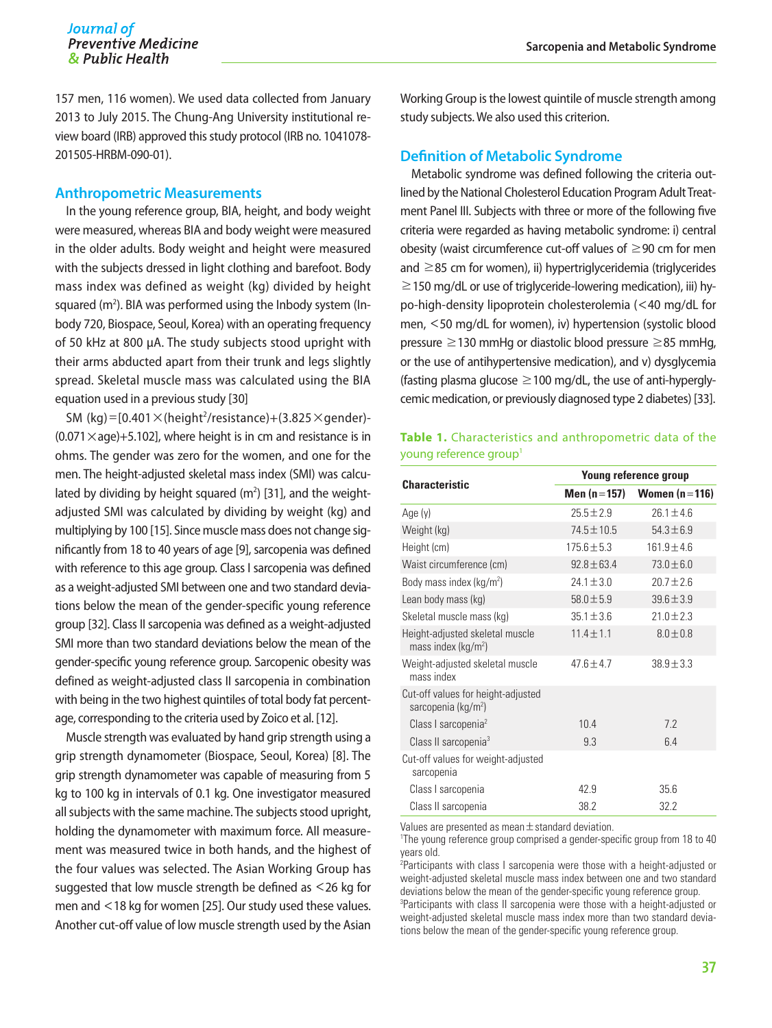157 men, 116 women). We used data collected from January 2013 to July 2015. The Chung-Ang University institutional review board (IRB) approved this study protocol (IRB no. 1041078- 201505-HRBM-090-01).

#### **Anthropometric Measurements**

In the young reference group, BIA, height, and body weight were measured, whereas BIA and body weight were measured in the older adults. Body weight and height were measured with the subjects dressed in light clothing and barefoot. Body mass index was defined as weight (kg) divided by height squared ( $m^2$ ). BIA was performed using the Inbody system (Inbody 720, Biospace, Seoul, Korea) with an operating frequency of 50 kHz at 800 μA. The study subjects stood upright with their arms abducted apart from their trunk and legs slightly spread. Skeletal muscle mass was calculated using the BIA equation used in a previous study [30]

SM  $(kg) = [0.401 \times (height^2/resistance) + (3.825 \times gender) (0.071 \times aq) + 5.102$ , where height is in cm and resistance is in ohms. The gender was zero for the women, and one for the men. The height-adjusted skeletal mass index (SMI) was calculated by dividing by height squared  $(m^2)$  [31], and the weightadjusted SMI was calculated by dividing by weight (kg) and multiplying by 100 [15]. Since muscle mass does not change significantly from 18 to 40 years of age [9], sarcopenia was defined with reference to this age group. Class I sarcopenia was defined as a weight-adjusted SMI between one and two standard deviations below the mean of the gender-specific young reference group [32]. Class II sarcopenia was defined as a weight-adjusted SMI more than two standard deviations below the mean of the gender-specific young reference group. Sarcopenic obesity was defined as weight-adjusted class II sarcopenia in combination with being in the two highest quintiles of total body fat percentage, corresponding to the criteria used by Zoico et al. [12].

Muscle strength was evaluated by hand grip strength using a grip strength dynamometer (Biospace, Seoul, Korea) [8]. The grip strength dynamometer was capable of measuring from 5 kg to 100 kg in intervals of 0.1 kg. One investigator measured all subjects with the same machine. The subjects stood upright, holding the dynamometer with maximum force. All measurement was measured twice in both hands, and the highest of the four values was selected. The Asian Working Group has suggested that low muscle strength be defined as <26 kg for men and <18 kg for women [25]. Our study used these values. Another cut-off value of low muscle strength used by the Asian Working Group is the lowest quintile of muscle strength among study subjects. We also used this criterion.

#### **Definition of Metabolic Syndrome**

Metabolic syndrome was defined following the criteria outlined by the National Cholesterol Education Program Adult Treatment Panel III. Subjects with three or more of the following five criteria were regarded as having metabolic syndrome: i) central obesity (waist circumference cut-off values of  $\geq$ 90 cm for men and ≥85 cm for women), ii) hypertriglyceridemia (triglycerides  $\geq$  150 mg/dL or use of triglyceride-lowering medication), iii) hypo-high-density lipoprotein cholesterolemia (<40 mg/dL for men, <50 mg/dL for women), iv) hypertension (systolic blood pressure ≥130 mmHg or diastolic blood pressure ≥85 mmHg, or the use of antihypertensive medication), and v) dysglycemia (fasting plasma glucose  $\geq$  100 mg/dL, the use of anti-hyperglycemic medication, or previously diagnosed type 2 diabetes) [33].

### **Table 1.** Characteristics and anthropometric data of the young reference group<sup>1</sup>

| <b>Characteristic</b>                                                 | Young reference group            |                 |  |
|-----------------------------------------------------------------------|----------------------------------|-----------------|--|
|                                                                       | Men (n = 157)<br>Women $(n=116)$ |                 |  |
| Age $(y)$                                                             | $25.5 \pm 2.9$                   | $26.1 \pm 4.6$  |  |
| Weight (kg)                                                           | 74.5±10.5                        | $54.3 \pm 6.9$  |  |
| Height (cm)                                                           | $175.6 \pm 5.3$                  | $161.9 \pm 4.6$ |  |
| Waist circumference (cm)                                              | $92.8 \pm 63.4$                  | $73.0 \pm 6.0$  |  |
| Body mass index ( $kg/m2$ )                                           | $24.1 \pm 3.0$                   | $20.7 \pm 2.6$  |  |
| Lean body mass (kg)                                                   | $58.0 \pm 5.9$                   | $39.6 \pm 3.9$  |  |
| Skeletal muscle mass (kg)                                             | $35.1 \pm 3.6$                   | $21.0 \pm 2.3$  |  |
| Height-adjusted skeletal muscle<br>mass index ( $kg/m2$ )             | $11.4 \pm 1.1$                   | $8.0 \pm 0.8$   |  |
| Weight-adjusted skeletal muscle<br>mass index                         | 47 $6±47$                        | $38.9 \pm 3.3$  |  |
| Cut-off values for height-adjusted<br>sarcopenia (kg/m <sup>2</sup> ) |                                  |                 |  |
| Class I sarcopenia <sup>2</sup>                                       | 10.4                             | 7.2             |  |
| Class II sarcopenia <sup>3</sup>                                      | 9.3                              | 6.4             |  |
| Cut-off values for weight-adjusted<br>sarcopenia                      |                                  |                 |  |
| Class I sarcopenia                                                    | 42.9                             | 35.6            |  |
| Class II sarcopenia                                                   | 38.2                             | 32.2            |  |

Values are presented as mean $\pm$ standard deviation.

<sup>1</sup>The young reference group comprised a gender-specific group from 18 to 40 years old.

<sup>2</sup>Participants with class I sarcopenia were those with a height-adjusted or weight-adjusted skeletal muscle mass index between one and two standard deviations below the mean of the gender-specific young reference group. <sup>3</sup>Participants with class II sarcopenia were those with a height-adjusted or weight-adjusted skeletal muscle mass index more than two standard deviations below the mean of the gender-specific young reference group.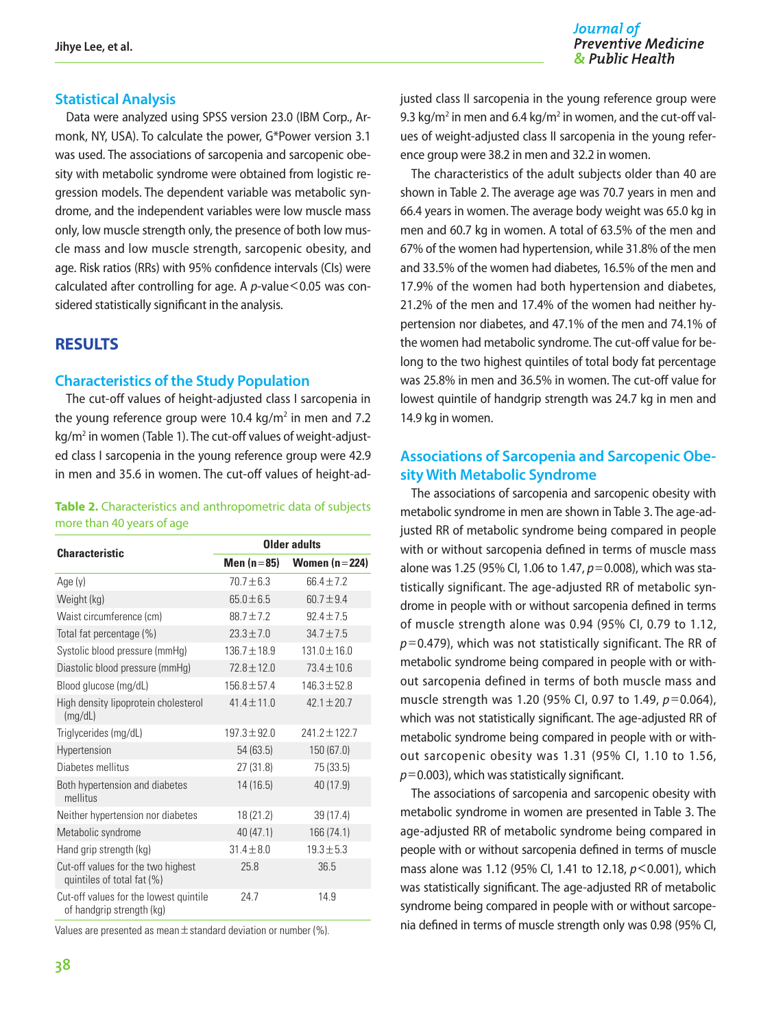### **Statistical Analysis**

Data were analyzed using SPSS version 23.0 (IBM Corp., Armonk, NY, USA). To calculate the power, G\*Power version 3.1 was used. The associations of sarcopenia and sarcopenic obesity with metabolic syndrome were obtained from logistic regression models. The dependent variable was metabolic syndrome, and the independent variables were low muscle mass only, low muscle strength only, the presence of both low muscle mass and low muscle strength, sarcopenic obesity, and age. Risk ratios (RRs) with 95% confidence intervals (CIs) were calculated after controlling for age. A *p*-value <0.05 was considered statistically significant in the analysis.

## **RESULTS**

#### **Characteristics of the Study Population**

The cut-off values of height-adjusted class I sarcopenia in the young reference group were 10.4  $kg/m^2$  in men and 7.2 kg/m<sup>2</sup> in women (Table 1). The cut-off values of weight-adjusted class I sarcopenia in the young reference group were 42.9 in men and 35.6 in women. The cut-off values of height-ad-

#### **Table 2.** Characteristics and anthropometric data of subjects more than 40 years of age

| <b>Characteristic</b>                                               | Older adults     |                  |  |
|---------------------------------------------------------------------|------------------|------------------|--|
|                                                                     | Men (n=85)       | Women $(n=224)$  |  |
| Age (y)                                                             | 70.7土6.3         | 664±72           |  |
| Weight (kg)                                                         | $65.0 \pm 6.5$   | $60.7 \pm 9.4$   |  |
| Waist circumference (cm)                                            | 88.7±7.2         | $92.4 \pm 7.5$   |  |
| Total fat percentage (%)                                            | $23.3 \pm 7.0$   | $34.7 \pm 7.5$   |  |
| Systolic blood pressure (mmHg)                                      | $136.7 \pm 18.9$ | $131.0 \pm 16.0$ |  |
| Diastolic blood pressure (mmHg)                                     | $72.8 \pm 12.0$  | $73.4 \pm 10.6$  |  |
| Blood glucose (mg/dL)                                               | $156.8 \pm 57.4$ | $146.3 \pm 52.8$ |  |
| High density lipoprotein cholesterol<br>(mg/dL)                     | $41.4 \pm 11.0$  | $42.1 \pm 20.7$  |  |
| Triglycerides (mg/dL)                                               | $197.3 \pm 92.0$ | $7417 + 1277$    |  |
| Hypertension                                                        | 54(63.5)         | 150 (67.0)       |  |
| Diabetes mellitus                                                   | 27 (31.8)        | 75 (33.5)        |  |
| Both hypertension and diabetes<br>mellitus                          | 14 (16.5)        | 40 (17.9)        |  |
| Neither hypertension nor diabetes                                   | 18 (21.2)        | 39 (17.4)        |  |
| Metabolic syndrome                                                  | 40 (47.1)        | 166 (74.1)       |  |
| Hand grip strength (kg)                                             | $31.4 \pm 8.0$   | $19.3 \pm 5.3$   |  |
| Cut-off values for the two highest<br>quintiles of total fat (%)    | 25.8             | 36.5             |  |
| Cut-off values for the lowest quintile<br>of handgrip strength (kg) | 24.7             | 14.9             |  |

Values are presented as mean  $\pm$  standard deviation or number (%).

#### Journal of **Preventive Medicine** & Public Health

justed class II sarcopenia in the young reference group were 9.3 kg/m<sup>2</sup> in men and 6.4 kg/m<sup>2</sup> in women, and the cut-off values of weight-adjusted class II sarcopenia in the young reference group were 38.2 in men and 32.2 in women.

The characteristics of the adult subjects older than 40 are shown in Table 2. The average age was 70.7 years in men and 66.4 years in women. The average body weight was 65.0 kg in men and 60.7 kg in women. A total of 63.5% of the men and 67% of the women had hypertension, while 31.8% of the men and 33.5% of the women had diabetes, 16.5% of the men and 17.9% of the women had both hypertension and diabetes, 21.2% of the men and 17.4% of the women had neither hypertension nor diabetes, and 47.1% of the men and 74.1% of the women had metabolic syndrome. The cut-off value for belong to the two highest quintiles of total body fat percentage was 25.8% in men and 36.5% in women. The cut-off value for lowest quintile of handgrip strength was 24.7 kg in men and 14.9 kg in women.

## **Associations of Sarcopenia and Sarcopenic Obesity With Metabolic Syndrome**

The associations of sarcopenia and sarcopenic obesity with metabolic syndrome in men are shown in Table 3. The age-adjusted RR of metabolic syndrome being compared in people with or without sarcopenia defined in terms of muscle mass alone was 1.25 (95% CI, 1.06 to 1.47, *p*=0.008), which was statistically significant. The age-adjusted RR of metabolic syndrome in people with or without sarcopenia defined in terms of muscle strength alone was 0.94 (95% CI, 0.79 to 1.12, *p*=0.479), which was not statistically significant. The RR of metabolic syndrome being compared in people with or without sarcopenia defined in terms of both muscle mass and muscle strength was 1.20 (95% CI, 0.97 to 1.49, *p*=0.064), which was not statistically significant. The age-adjusted RR of metabolic syndrome being compared in people with or without sarcopenic obesity was 1.31 (95% CI, 1.10 to 1.56, *p*=0.003), which was statistically significant.

The associations of sarcopenia and sarcopenic obesity with metabolic syndrome in women are presented in Table 3. The age-adjusted RR of metabolic syndrome being compared in people with or without sarcopenia defined in terms of muscle mass alone was 1.12 (95% CI, 1.41 to 12.18, *p*<0.001), which was statistically significant. The age-adjusted RR of metabolic syndrome being compared in people with or without sarcopenia defined in terms of muscle strength only was 0.98 (95% CI,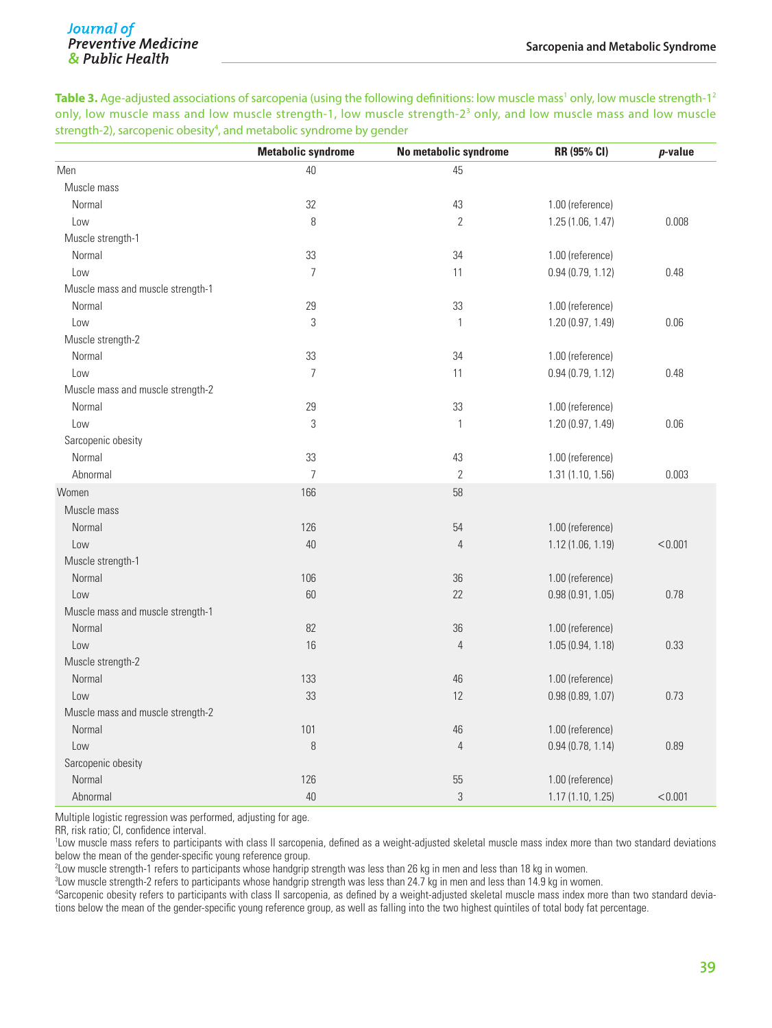**Table 3.** Age-adjusted associations of sarcopenia (using the following definitions: low muscle mass<sup>1</sup> only, low muscle strength-1<sup>2</sup> only, low muscle mass and low muscle strength-1, low muscle strength-2<sup>3</sup> only, and low muscle mass and low muscle strength-2), sarcopenic obesity<sup>4</sup>, and metabolic syndrome by gender

|                                   | <b>Metabolic syndrome</b> | No metabolic syndrome | RR (95% CI)       | p-value |
|-----------------------------------|---------------------------|-----------------------|-------------------|---------|
| Men                               | 40                        | 45                    |                   |         |
| Muscle mass                       |                           |                       |                   |         |
| Normal                            | 32                        | 43                    | 1.00 (reference)  |         |
| Low                               | 8                         | $\mathbf{2}$          | 1.25(1.06, 1.47)  | 0.008   |
| Muscle strength-1                 |                           |                       |                   |         |
| Normal                            | 33                        | 34                    | 1.00 (reference)  |         |
| Low                               | $\overline{7}$            | 11                    | 0.94(0.79, 1.12)  | 0.48    |
| Muscle mass and muscle strength-1 |                           |                       |                   |         |
| Normal                            | 29                        | 33                    | 1.00 (reference)  |         |
| Low                               | $\sqrt{3}$                | $\mathbf{1}$          | 1.20 (0.97, 1.49) | 0.06    |
| Muscle strength-2                 |                           |                       |                   |         |
| Normal                            | 33                        | 34                    | 1.00 (reference)  |         |
| Low                               | $\overline{7}$            | 11                    | 0.94(0.79, 1.12)  | 0.48    |
| Muscle mass and muscle strength-2 |                           |                       |                   |         |
| Normal                            | 29                        | 33                    | 1.00 (reference)  |         |
| Low                               | $\sqrt{3}$                | $\mathbf{1}$          | 1.20 (0.97, 1.49) | 0.06    |
| Sarcopenic obesity                |                           |                       |                   |         |
| Normal                            | 33                        | 43                    | 1.00 (reference)  |         |
| Abnormal                          | $\overline{7}$            | $\mathbf{2}$          | 1.31 (1.10, 1.56) | 0.003   |
| Women                             | 166                       | 58                    |                   |         |
| Muscle mass                       |                           |                       |                   |         |
| Normal                            | 126                       | 54                    | 1.00 (reference)  |         |
| Low                               | 40                        | $\overline{4}$        | 1.12 (1.06, 1.19) | < 0.001 |
| Muscle strength-1                 |                           |                       |                   |         |
| Normal                            | 106                       | 36                    | 1.00 (reference)  |         |
| Low                               | 60                        | 22                    | 0.98(0.91, 1.05)  | 0.78    |
| Muscle mass and muscle strength-1 |                           |                       |                   |         |
| Normal                            | 82                        | 36                    | 1.00 (reference)  |         |
| Low                               | 16                        | $\overline{4}$        | 1.05 (0.94, 1.18) | 0.33    |
| Muscle strength-2                 |                           |                       |                   |         |
| Normal                            | 133                       | 46                    | 1.00 (reference)  |         |
| Low                               | 33                        | 12                    | 0.98(0.89, 1.07)  | 0.73    |
| Muscle mass and muscle strength-2 |                           |                       |                   |         |
| Normal                            | 101                       | 46                    | 1.00 (reference)  |         |
| Low                               | 8                         | $\overline{4}$        | 0.94(0.78, 1.14)  | 0.89    |
| Sarcopenic obesity                |                           |                       |                   |         |
| Normal                            | 126                       | 55                    | 1.00 (reference)  |         |
| Abnormal                          | 40                        | 3                     | 1.17 (1.10, 1.25) | < 0.001 |

Multiple logistic regression was performed, adjusting for age.

RR, risk ratio; CI, confidence interval.

1 Low muscle mass refers to participants with class II sarcopenia, defined as a weight-adjusted skeletal muscle mass index more than two standard deviations below the mean of the gender-specific young reference group.

2 Low muscle strength-1 refers to participants whose handgrip strength was less than 26 kg in men and less than 18 kg in women.

3 Low muscle strength-2 refers to participants whose handgrip strength was less than 24.7 kg in men and less than 14.9 kg in women.

4 Sarcopenic obesity refers to participants with class II sarcopenia, as defined by a weight-adjusted skeletal muscle mass index more than two standard deviations below the mean of the gender-specific young reference group, as well as falling into the two highest quintiles of total body fat percentage.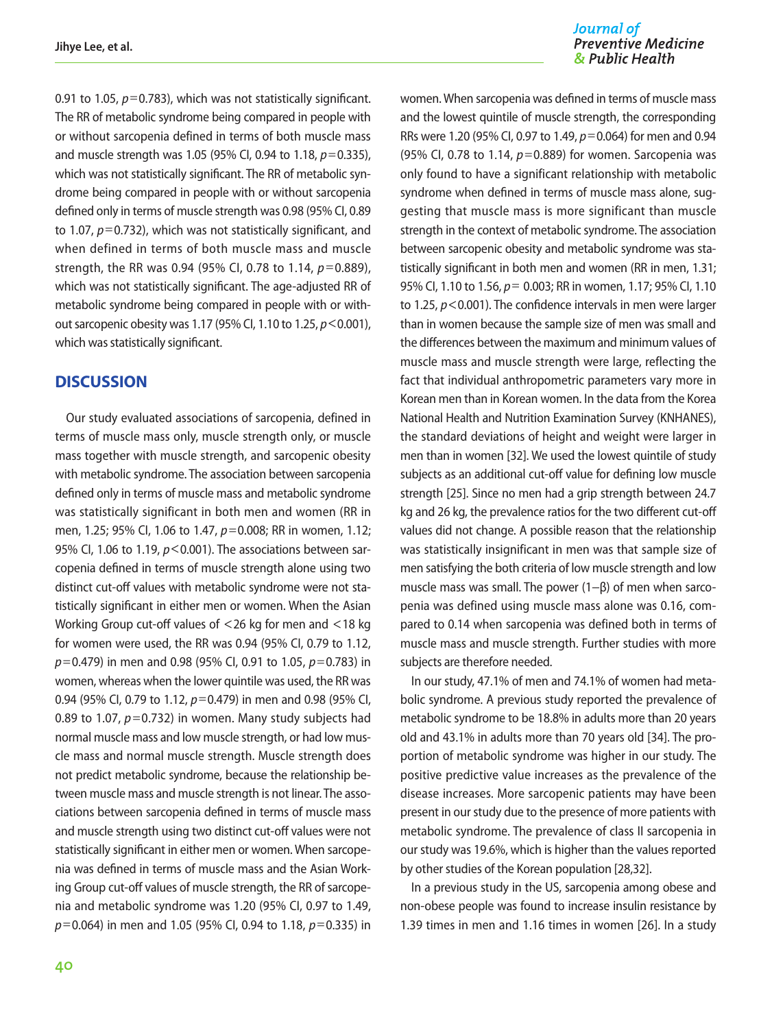0.91 to 1.05,  $p=0.783$ ), which was not statistically significant. The RR of metabolic syndrome being compared in people with or without sarcopenia defined in terms of both muscle mass and muscle strength was 1.05 (95% CI, 0.94 to 1.18, *p*=0.335), which was not statistically significant. The RR of metabolic syndrome being compared in people with or without sarcopenia defined only in terms of muscle strength was 0.98 (95% CI, 0.89 to 1.07, *p*=0.732), which was not statistically significant, and when defined in terms of both muscle mass and muscle strength, the RR was 0.94 (95% CI, 0.78 to 1.14, *p*=0.889), which was not statistically significant. The age-adjusted RR of metabolic syndrome being compared in people with or without sarcopenic obesity was 1.17 (95% CI, 1.10 to 1.25, *p*<0.001), which was statistically significant.

## **DISCUSSION**

Our study evaluated associations of sarcopenia, defined in terms of muscle mass only, muscle strength only, or muscle mass together with muscle strength, and sarcopenic obesity with metabolic syndrome. The association between sarcopenia defined only in terms of muscle mass and metabolic syndrome was statistically significant in both men and women (RR in men, 1.25; 95% CI, 1.06 to 1.47, *p*=0.008; RR in women, 1.12; 95% CI, 1.06 to 1.19,  $p$ <0.001). The associations between sarcopenia defined in terms of muscle strength alone using two distinct cut-off values with metabolic syndrome were not statistically significant in either men or women. When the Asian Working Group cut-off values of <26 kg for men and <18 kg for women were used, the RR was 0.94 (95% CI, 0.79 to 1.12, *p*=0.479) in men and 0.98 (95% CI, 0.91 to 1.05, *p*=0.783) in women, whereas when the lower quintile was used, the RR was 0.94 (95% CI, 0.79 to 1.12, *p*=0.479) in men and 0.98 (95% CI, 0.89 to 1.07, *p*=0.732) in women. Many study subjects had normal muscle mass and low muscle strength, or had low muscle mass and normal muscle strength. Muscle strength does not predict metabolic syndrome, because the relationship between muscle mass and muscle strength is not linear. The associations between sarcopenia defined in terms of muscle mass and muscle strength using two distinct cut-off values were not statistically significant in either men or women. When sarcopenia was defined in terms of muscle mass and the Asian Working Group cut-off values of muscle strength, the RR of sarcopenia and metabolic syndrome was 1.20 (95% CI, 0.97 to 1.49, *p*=0.064) in men and 1.05 (95% CI, 0.94 to 1.18, *p*=0.335) in

women. When sarcopenia was defined in terms of muscle mass and the lowest quintile of muscle strength, the corresponding RRs were 1.20 (95% CI, 0.97 to 1.49, *p*=0.064) for men and 0.94 (95% CI, 0.78 to 1.14, *p*=0.889) for women. Sarcopenia was only found to have a significant relationship with metabolic syndrome when defined in terms of muscle mass alone, suggesting that muscle mass is more significant than muscle strength in the context of metabolic syndrome. The association between sarcopenic obesity and metabolic syndrome was statistically significant in both men and women (RR in men, 1.31; 95% CI, 1.10 to 1.56, *p*= 0.003; RR in women, 1.17; 95% CI, 1.10 to 1.25, *p*<0.001). The confidence intervals in men were larger than in women because the sample size of men was small and the differences between the maximum and minimum values of muscle mass and muscle strength were large, reflecting the fact that individual anthropometric parameters vary more in Korean men than in Korean women. In the data from the Korea National Health and Nutrition Examination Survey (KNHANES), the standard deviations of height and weight were larger in men than in women [32]. We used the lowest quintile of study subjects as an additional cut-off value for defining low muscle strength [25]. Since no men had a grip strength between 24.7 kg and 26 kg, the prevalence ratios for the two different cut-off values did not change. A possible reason that the relationship was statistically insignificant in men was that sample size of men satisfying the both criteria of low muscle strength and low muscle mass was small. The power (1−β) of men when sarcopenia was defined using muscle mass alone was 0.16, compared to 0.14 when sarcopenia was defined both in terms of muscle mass and muscle strength. Further studies with more subjects are therefore needed.

In our study, 47.1% of men and 74.1% of women had metabolic syndrome. A previous study reported the prevalence of metabolic syndrome to be 18.8% in adults more than 20 years old and 43.1% in adults more than 70 years old [34]. The proportion of metabolic syndrome was higher in our study. The positive predictive value increases as the prevalence of the disease increases. More sarcopenic patients may have been present in our study due to the presence of more patients with metabolic syndrome. The prevalence of class II sarcopenia in our study was 19.6%, which is higher than the values reported by other studies of the Korean population [28,32].

In a previous study in the US, sarcopenia among obese and non-obese people was found to increase insulin resistance by 1.39 times in men and 1.16 times in women [26]. In a study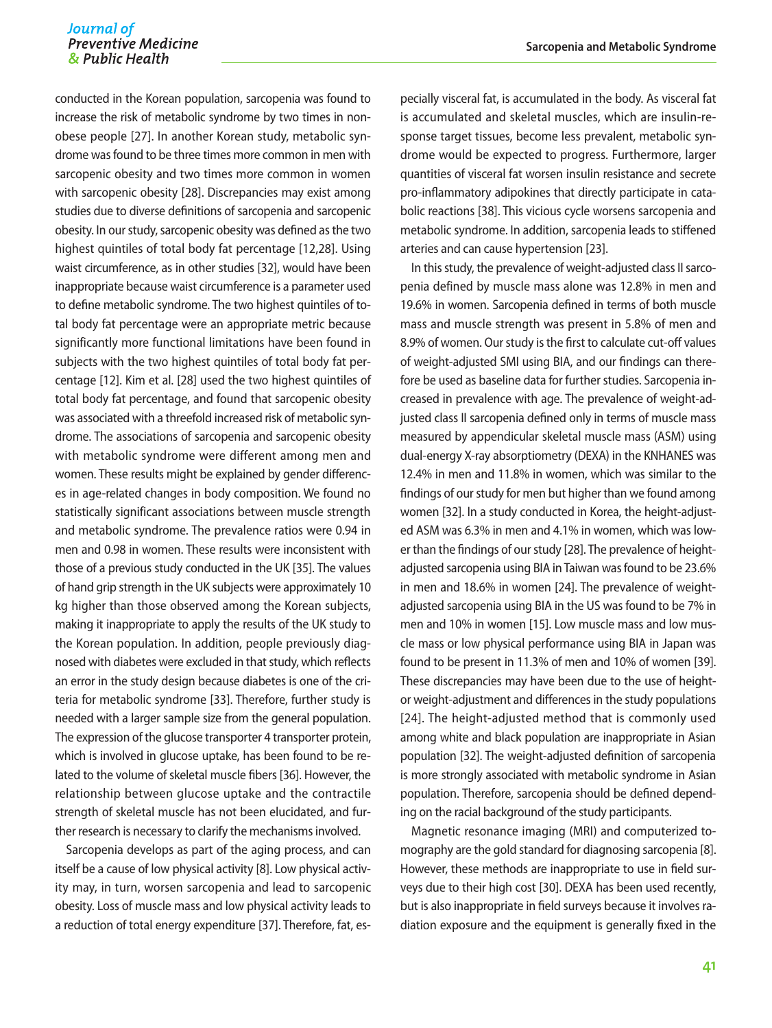conducted in the Korean population, sarcopenia was found to increase the risk of metabolic syndrome by two times in nonobese people [27]. In another Korean study, metabolic syndrome was found to be three times more common in men with sarcopenic obesity and two times more common in women with sarcopenic obesity [28]. Discrepancies may exist among studies due to diverse definitions of sarcopenia and sarcopenic obesity. In our study, sarcopenic obesity was defined as the two highest quintiles of total body fat percentage [12,28]. Using waist circumference, as in other studies [32], would have been inappropriate because waist circumference is a parameter used to define metabolic syndrome. The two highest quintiles of total body fat percentage were an appropriate metric because significantly more functional limitations have been found in subjects with the two highest quintiles of total body fat percentage [12]. Kim et al. [28] used the two highest quintiles of total body fat percentage, and found that sarcopenic obesity was associated with a threefold increased risk of metabolic syndrome. The associations of sarcopenia and sarcopenic obesity with metabolic syndrome were different among men and women. These results might be explained by gender differences in age-related changes in body composition. We found no statistically significant associations between muscle strength and metabolic syndrome. The prevalence ratios were 0.94 in men and 0.98 in women. These results were inconsistent with those of a previous study conducted in the UK [35]. The values of hand grip strength in the UK subjects were approximately 10 kg higher than those observed among the Korean subjects, making it inappropriate to apply the results of the UK study to the Korean population. In addition, people previously diagnosed with diabetes were excluded in that study, which reflects an error in the study design because diabetes is one of the criteria for metabolic syndrome [33]. Therefore, further study is needed with a larger sample size from the general population. The expression of the glucose transporter 4 transporter protein, which is involved in glucose uptake, has been found to be related to the volume of skeletal muscle fibers [36]. However, the relationship between glucose uptake and the contractile strength of skeletal muscle has not been elucidated, and further research is necessary to clarify the mechanisms involved.

Sarcopenia develops as part of the aging process, and can itself be a cause of low physical activity [8]. Low physical activity may, in turn, worsen sarcopenia and lead to sarcopenic obesity. Loss of muscle mass and low physical activity leads to a reduction of total energy expenditure [37]. Therefore, fat, es-

pecially visceral fat, is accumulated in the body. As visceral fat is accumulated and skeletal muscles, which are insulin-response target tissues, become less prevalent, metabolic syndrome would be expected to progress. Furthermore, larger quantities of visceral fat worsen insulin resistance and secrete pro-inflammatory adipokines that directly participate in catabolic reactions [38]. This vicious cycle worsens sarcopenia and metabolic syndrome. In addition, sarcopenia leads to stiffened arteries and can cause hypertension [23].

In this study, the prevalence of weight-adjusted class II sarcopenia defined by muscle mass alone was 12.8% in men and 19.6% in women. Sarcopenia defined in terms of both muscle mass and muscle strength was present in 5.8% of men and 8.9% of women. Our study is the first to calculate cut-off values of weight-adjusted SMI using BIA, and our findings can therefore be used as baseline data for further studies. Sarcopenia increased in prevalence with age. The prevalence of weight-adjusted class II sarcopenia defined only in terms of muscle mass measured by appendicular skeletal muscle mass (ASM) using dual-energy X-ray absorptiometry (DEXA) in the KNHANES was 12.4% in men and 11.8% in women, which was similar to the findings of our study for men but higher than we found among women [32]. In a study conducted in Korea, the height-adjusted ASM was 6.3% in men and 4.1% in women, which was lower than the findings of our study [28]. The prevalence of heightadjusted sarcopenia using BIA in Taiwan was found to be 23.6% in men and 18.6% in women [24]. The prevalence of weightadjusted sarcopenia using BIA in the US was found to be 7% in men and 10% in women [15]. Low muscle mass and low muscle mass or low physical performance using BIA in Japan was found to be present in 11.3% of men and 10% of women [39]. These discrepancies may have been due to the use of heightor weight-adjustment and differences in the study populations [24]. The height-adjusted method that is commonly used among white and black population are inappropriate in Asian population [32]. The weight-adjusted definition of sarcopenia is more strongly associated with metabolic syndrome in Asian population. Therefore, sarcopenia should be defined depending on the racial background of the study participants.

Magnetic resonance imaging (MRI) and computerized tomography are the gold standard for diagnosing sarcopenia [8]. However, these methods are inappropriate to use in field surveys due to their high cost [30]. DEXA has been used recently, but is also inappropriate in field surveys because it involves radiation exposure and the equipment is generally fixed in the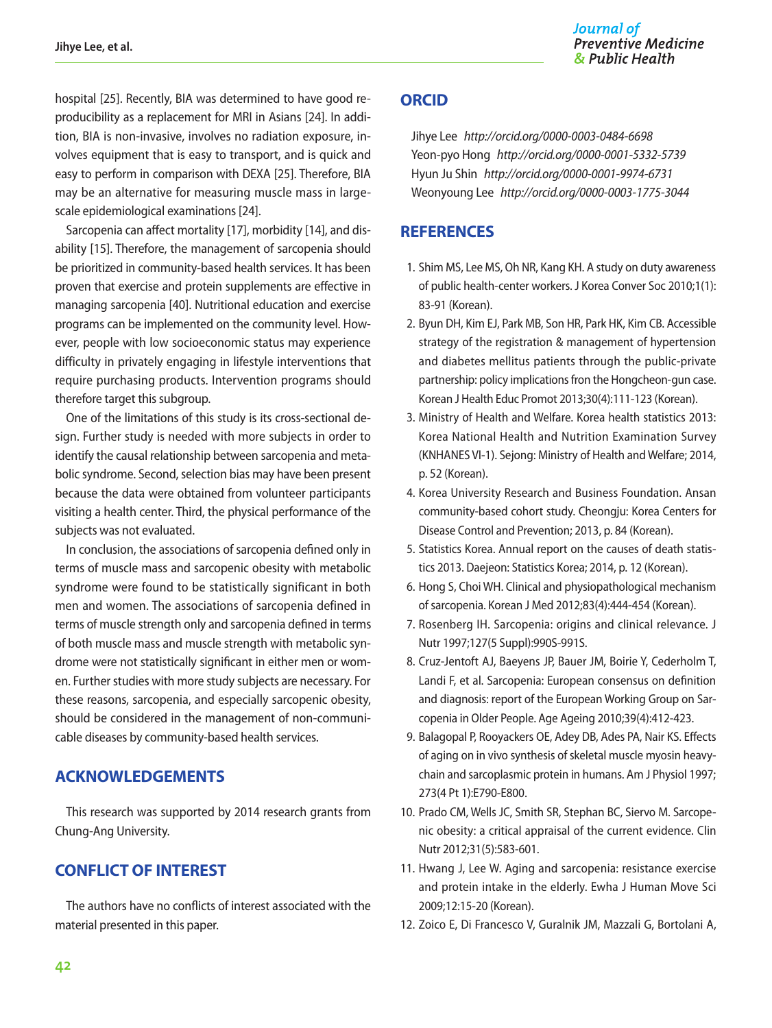hospital [25]. Recently, BIA was determined to have good reproducibility as a replacement for MRI in Asians [24]. In addition, BIA is non-invasive, involves no radiation exposure, involves equipment that is easy to transport, and is quick and easy to perform in comparison with DEXA [25]. Therefore, BIA may be an alternative for measuring muscle mass in largescale epidemiological examinations [24].

Sarcopenia can affect mortality [17], morbidity [14], and disability [15]. Therefore, the management of sarcopenia should be prioritized in community-based health services. It has been proven that exercise and protein supplements are effective in managing sarcopenia [40]. Nutritional education and exercise programs can be implemented on the community level. However, people with low socioeconomic status may experience difficulty in privately engaging in lifestyle interventions that require purchasing products. Intervention programs should therefore target this subgroup.

One of the limitations of this study is its cross-sectional design. Further study is needed with more subjects in order to identify the causal relationship between sarcopenia and metabolic syndrome. Second, selection bias may have been present because the data were obtained from volunteer participants visiting a health center. Third, the physical performance of the subjects was not evaluated.

In conclusion, the associations of sarcopenia defined only in terms of muscle mass and sarcopenic obesity with metabolic syndrome were found to be statistically significant in both men and women. The associations of sarcopenia defined in terms of muscle strength only and sarcopenia defined in terms of both muscle mass and muscle strength with metabolic syndrome were not statistically significant in either men or women. Further studies with more study subjects are necessary. For these reasons, sarcopenia, and especially sarcopenic obesity, should be considered in the management of non-communicable diseases by community-based health services.

## **ACKNOWLEDGEMENTS**

This research was supported by 2014 research grants from Chung-Ang University.

## **CONFLICT OF INTEREST**

The authors have no conflicts of interest associated with the material presented in this paper.

## **ORCID**

Jihye Lee *http://orcid.org/0000-0003-0484-6698* Yeon-pyo Hong *http://orcid.org/0000-0001-5332-5739* Hyun Ju Shin *http://orcid.org/0000-0001-9974-6731* Weonyoung Lee *http://orcid.org/0000-0003-1775-3044*

## **REFERENCES**

- 1. Shim MS, Lee MS, Oh NR, Kang KH. A study on duty awareness of public health-center workers. J Korea Conver Soc 2010;1(1): 83-91 (Korean).
- 2. Byun DH, Kim EJ, Park MB, Son HR, Park HK, Kim CB. Accessible strategy of the registration & management of hypertension and diabetes mellitus patients through the public-private partnership: policy implications fron the Hongcheon-gun case. Korean J Health Educ Promot 2013;30(4):111-123 (Korean).
- 3. Ministry of Health and Welfare. Korea health statistics 2013: Korea National Health and Nutrition Examination Survey (KNHANES VI-1). Sejong: Ministry of Health and Welfare; 2014, p. 52 (Korean).
- 4. Korea University Research and Business Foundation. Ansan community-based cohort study. Cheongju: Korea Centers for Disease Control and Prevention; 2013, p. 84 (Korean).
- 5. Statistics Korea. Annual report on the causes of death statistics 2013. Daejeon: Statistics Korea; 2014, p. 12 (Korean).
- 6. Hong S, Choi WH. Clinical and physiopathological mechanism of sarcopenia. Korean J Med 2012;83(4):444-454 (Korean).
- 7. Rosenberg IH. Sarcopenia: origins and clinical relevance. J Nutr 1997;127(5 Suppl):990S-991S.
- 8. Cruz-Jentoft AJ, Baeyens JP, Bauer JM, Boirie Y, Cederholm T, Landi F, et al. Sarcopenia: European consensus on definition and diagnosis: report of the European Working Group on Sarcopenia in Older People. Age Ageing 2010;39(4):412-423.
- 9. Balagopal P, Rooyackers OE, Adey DB, Ades PA, Nair KS. Effects of aging on in vivo synthesis of skeletal muscle myosin heavychain and sarcoplasmic protein in humans. Am J Physiol 1997; 273(4 Pt 1):E790-E800.
- 10. Prado CM, Wells JC, Smith SR, Stephan BC, Siervo M. Sarcopenic obesity: a critical appraisal of the current evidence. Clin Nutr 2012;31(5):583-601.
- 11. Hwang J, Lee W. Aging and sarcopenia: resistance exercise and protein intake in the elderly. Ewha J Human Move Sci 2009;12:15-20 (Korean).
- 12. Zoico E, Di Francesco V, Guralnik JM, Mazzali G, Bortolani A,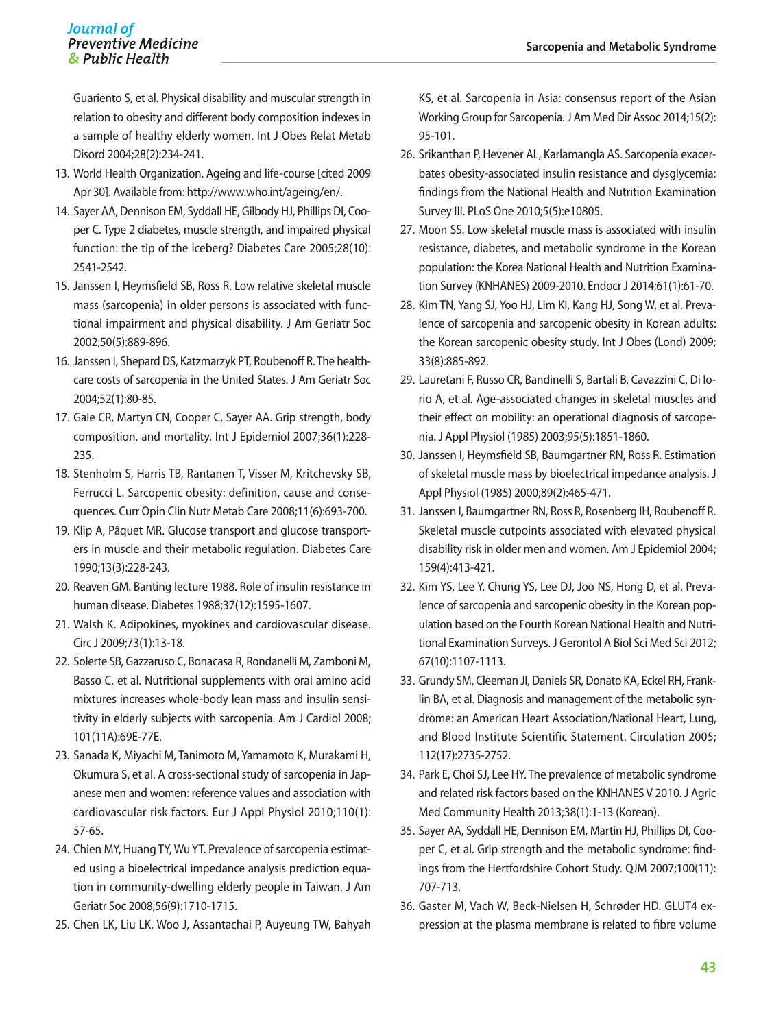Guariento S, et al. Physical disability and muscular strength in relation to obesity and different body composition indexes in a sample of healthy elderly women. Int J Obes Relat Metab Disord 2004;28(2):234-241.

- 13. World Health Organization. Ageing and life-course [cited 2009 Apr 30]. Available from: http://www.who.int/ageing/en/.
- 14. Sayer AA, Dennison EM, Syddall HE, Gilbody HJ, Phillips DI, Cooper C. Type 2 diabetes, muscle strength, and impaired physical function: the tip of the iceberg? Diabetes Care 2005;28(10): 2541-2542.
- 15. Janssen I, Heymsfield SB, Ross R. Low relative skeletal muscle mass (sarcopenia) in older persons is associated with functional impairment and physical disability. J Am Geriatr Soc 2002;50(5):889-896.
- 16. Janssen I, Shepard DS, Katzmarzyk PT, Roubenoff R. The healthcare costs of sarcopenia in the United States. J Am Geriatr Soc 2004;52(1):80-85.
- 17. Gale CR, Martyn CN, Cooper C, Sayer AA. Grip strength, body composition, and mortality. Int J Epidemiol 2007;36(1):228- 235.
- 18. Stenholm S, Harris TB, Rantanen T, Visser M, Kritchevsky SB, Ferrucci L. Sarcopenic obesity: definition, cause and consequences. Curr Opin Clin Nutr Metab Care 2008;11(6):693-700.
- 19. Klip A, Pâquet MR. Glucose transport and glucose transporters in muscle and their metabolic regulation. Diabetes Care 1990;13(3):228-243.
- 20. Reaven GM. Banting lecture 1988. Role of insulin resistance in human disease. Diabetes 1988;37(12):1595-1607.
- 21. Walsh K. Adipokines, myokines and cardiovascular disease. Circ J 2009;73(1):13-18.
- 22. Solerte SB, Gazzaruso C, Bonacasa R, Rondanelli M, Zamboni M, Basso C, et al. Nutritional supplements with oral amino acid mixtures increases whole-body lean mass and insulin sensitivity in elderly subjects with sarcopenia. Am J Cardiol 2008; 101(11A):69E-77E.
- 23. Sanada K, Miyachi M, Tanimoto M, Yamamoto K, Murakami H, Okumura S, et al. A cross-sectional study of sarcopenia in Japanese men and women: reference values and association with cardiovascular risk factors. Eur J Appl Physiol 2010;110(1): 57-65.
- 24. Chien MY, Huang TY, Wu YT. Prevalence of sarcopenia estimated using a bioelectrical impedance analysis prediction equation in community-dwelling elderly people in Taiwan. J Am Geriatr Soc 2008;56(9):1710-1715.
- 25. Chen LK, Liu LK, Woo J, Assantachai P, Auyeung TW, Bahyah

KS, et al. Sarcopenia in Asia: consensus report of the Asian Working Group for Sarcopenia. J Am Med Dir Assoc 2014;15(2): 95-101.

- 26. Srikanthan P, Hevener AL, Karlamangla AS. Sarcopenia exacerbates obesity-associated insulin resistance and dysglycemia: findings from the National Health and Nutrition Examination Survey III. PLoS One 2010;5(5):e10805.
- 27. Moon SS. Low skeletal muscle mass is associated with insulin resistance, diabetes, and metabolic syndrome in the Korean population: the Korea National Health and Nutrition Examination Survey (KNHANES) 2009-2010. Endocr J 2014;61(1):61-70.
- 28. Kim TN, Yang SJ, Yoo HJ, Lim KI, Kang HJ, Song W, et al. Prevalence of sarcopenia and sarcopenic obesity in Korean adults: the Korean sarcopenic obesity study. Int J Obes (Lond) 2009; 33(8):885-892.
- 29. Lauretani F, Russo CR, Bandinelli S, Bartali B, Cavazzini C, Di Iorio A, et al. Age-associated changes in skeletal muscles and their effect on mobility: an operational diagnosis of sarcopenia. J Appl Physiol (1985) 2003;95(5):1851-1860.
- 30. Janssen I, Heymsfield SB, Baumgartner RN, Ross R. Estimation of skeletal muscle mass by bioelectrical impedance analysis. J Appl Physiol (1985) 2000;89(2):465-471.
- 31. Janssen I, Baumgartner RN, Ross R, Rosenberg IH, Roubenoff R. Skeletal muscle cutpoints associated with elevated physical disability risk in older men and women. Am J Epidemiol 2004; 159(4):413-421.
- 32. Kim YS, Lee Y, Chung YS, Lee DJ, Joo NS, Hong D, et al. Prevalence of sarcopenia and sarcopenic obesity in the Korean population based on the Fourth Korean National Health and Nutritional Examination Surveys. J Gerontol A Biol Sci Med Sci 2012; 67(10):1107-1113.
- 33. Grundy SM, Cleeman JI, Daniels SR, Donato KA, Eckel RH, Franklin BA, et al. Diagnosis and management of the metabolic syndrome: an American Heart Association/National Heart, Lung, and Blood Institute Scientific Statement. Circulation 2005; 112(17):2735-2752.
- 34. Park E, Choi SJ, Lee HY. The prevalence of metabolic syndrome and related risk factors based on the KNHANES V 2010. J Agric Med Community Health 2013;38(1):1-13 (Korean).
- 35. Sayer AA, Syddall HE, Dennison EM, Martin HJ, Phillips DI, Cooper C, et al. Grip strength and the metabolic syndrome: findings from the Hertfordshire Cohort Study. QJM 2007;100(11): 707-713.
- 36. Gaster M, Vach W, Beck-Nielsen H, Schrøder HD. GLUT4 expression at the plasma membrane is related to fibre volume